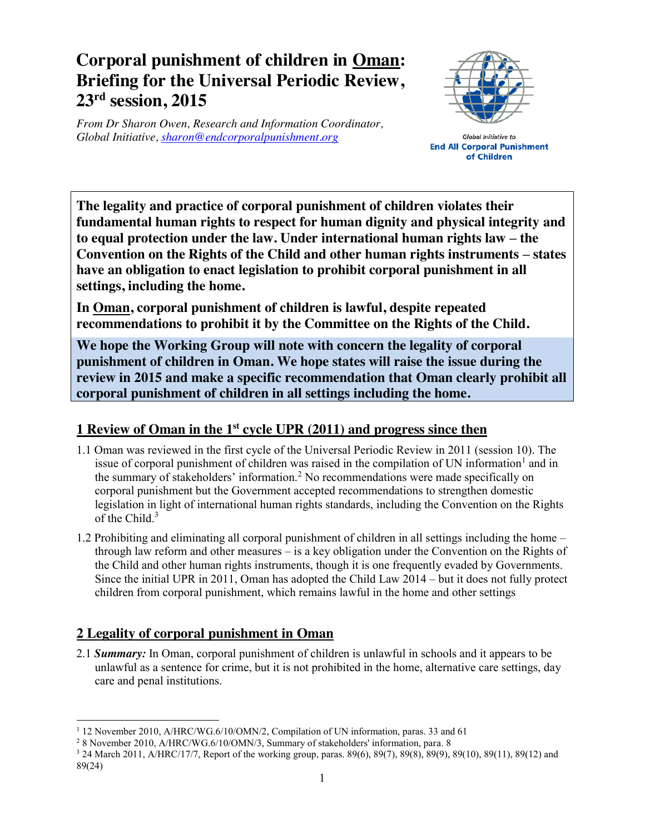## **Corporal punishment of children in Oman: Briefing for the Universal Periodic Review, 23rd session, 2015**

*From Dr Sharon Owen, Research and Information Coordinator, Global Initiative, sharon@endcorporalpunishment.org*



Global Initiative to **End All Corporal Punishment** of Children

**The legality and practice of corporal punishment of children violates their fundamental human rights to respect for human dignity and physical integrity and to equal protection under the law. Under international human rights law – the Convention on the Rights of the Child and other human rights instruments – states have an obligation to enact legislation to prohibit corporal punishment in all settings, including the home.**

**In Oman, corporal punishment of children is lawful, despite repeated recommendations to prohibit it by the Committee on the Rights of the Child.**

**We hope the Working Group will note with concern the legality of corporal punishment of children in Oman. We hope states will raise the issue during the review in 2015 and make a specific recommendation that Oman clearly prohibit all corporal punishment of children in all settings including the home.**

## **1 Review of Oman in the 1st cycle UPR (2011) and progress since then**

- 1.1 Oman was reviewed in the first cycle of the Universal Periodic Review in 2011 (session 10). The issue of corporal punishment of children was raised in the compilation of UN information<sup>1</sup> and in the summary of stakeholders' information.<sup>2</sup> No recommendations were made specifically on corporal punishment but the Government accepted recommendations to strengthen domestic legislation in light of international human rights standards, including the Convention on the Rights of the Child.<sup>3</sup>
- 1.2 Prohibiting and eliminating all corporal punishment of children in all settings including the home through law reform and other measures – is a key obligation under the Convention on the Rights of the Child and other human rights instruments, though it is one frequently evaded by Governments. Since the initial UPR in 2011, Oman has adopted the Child Law 2014 – but it does not fully protect children from corporal punishment, which remains lawful in the home and other settings

## **2 Legality of corporal punishment in Oman**

2.1 *Summary:* In Oman, corporal punishment of children is unlawful in schools and it appears to be unlawful as a sentence for crime, but it is not prohibited in the home, alternative care settings, day care and penal institutions.

 <sup>1</sup> 12 November 2010, A/HRC/WG.6/10/OMN/2, Compilation of UN information, paras. 33 and 61

<sup>2</sup> 8 November 2010, A/HRC/WG.6/10/OMN/3, Summary of stakeholders' information, para. 8

<sup>3</sup> 24 March 2011, A/HRC/17/7, Report of the working group, paras. 89(6), 89(7), 89(8), 89(9), 89(10), 89(11), 89(12) and 89(24)